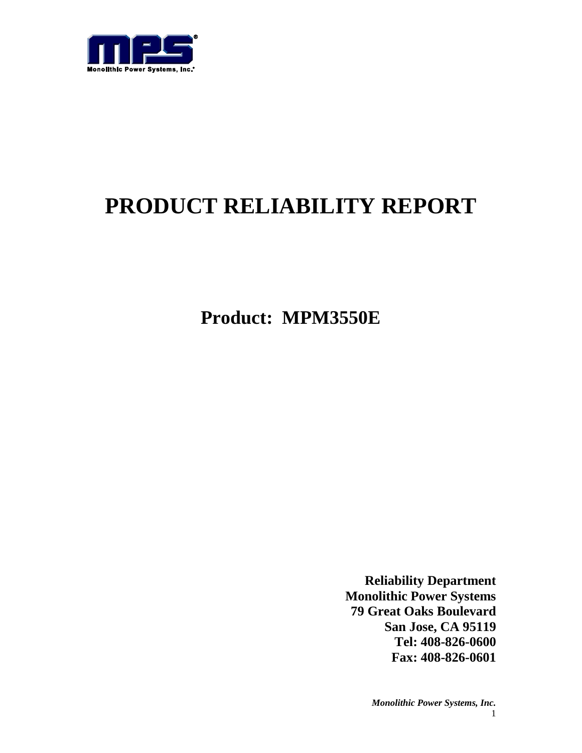

# **PRODUCT RELIABILITY REPORT**

**Product: MPM3550E**

**Reliability Department Monolithic Power Systems 79 Great Oaks Boulevard San Jose, CA 95119 Tel: 408-826-0600 Fax: 408-826-0601**

> *Monolithic Power Systems, Inc.* 1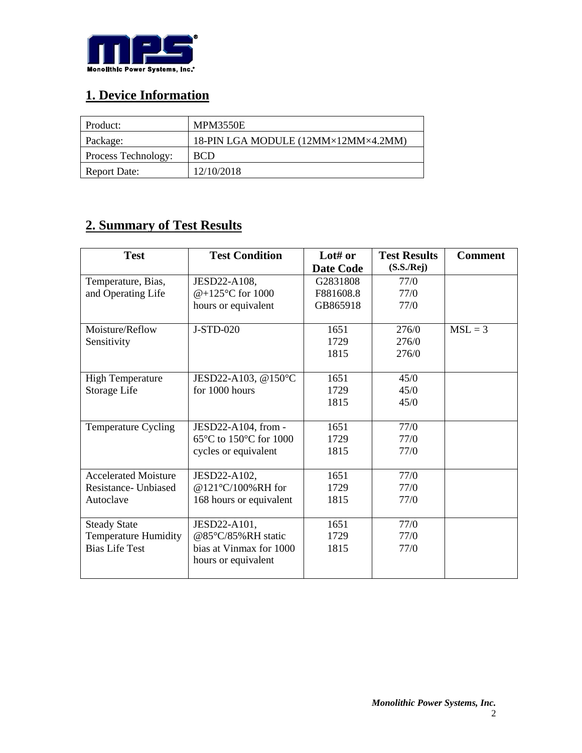

## **1. Device Information**

| Product:            | <b>MPM3550E</b>                     |
|---------------------|-------------------------------------|
| Package:            | 18-PIN LGA MODULE (12MM×12MM×4.2MM) |
| Process Technology: | <b>BCD</b>                          |
| <b>Report Date:</b> | 12/10/2018                          |

### **2. Summary of Test Results**

| <b>Test</b>                 | <b>Test Condition</b>                       | Lot# or          | <b>Test Results</b> | <b>Comment</b> |
|-----------------------------|---------------------------------------------|------------------|---------------------|----------------|
|                             |                                             | <b>Date Code</b> | (S.S./Rej)          |                |
| Temperature, Bias,          | JESD22-A108,                                | G2831808         | 77/0                |                |
| and Operating Life          | @+125°C for 1000                            | F881608.8        | 77/0                |                |
|                             | hours or equivalent                         | GB865918         | 77/0                |                |
|                             |                                             |                  |                     |                |
| Moisture/Reflow             | J-STD-020                                   | 1651             | 276/0               | $MSL = 3$      |
| Sensitivity                 |                                             | 1729             | 276/0               |                |
|                             |                                             | 1815             | 276/0               |                |
|                             |                                             |                  |                     |                |
| <b>High Temperature</b>     | JESD22-A103, @150°C                         | 1651             | 45/0                |                |
| Storage Life                | for 1000 hours                              | 1729             | 45/0                |                |
|                             |                                             | 1815             | 45/0                |                |
|                             |                                             |                  |                     |                |
| Temperature Cycling         | JESD22-A104, from -                         | 1651             | 77/0                |                |
|                             | $65^{\circ}$ C to 150 $^{\circ}$ C for 1000 | 1729             | 77/0                |                |
|                             | cycles or equivalent                        | 1815             | 77/0                |                |
|                             |                                             |                  |                     |                |
| <b>Accelerated Moisture</b> | JESD22-A102,                                | 1651             | 77/0                |                |
| Resistance - Unbiased       | @121°C/100%RH for                           | 1729             | 77/0                |                |
| Autoclave                   | 168 hours or equivalent                     | 1815             | 77/0                |                |
|                             |                                             |                  |                     |                |
| <b>Steady State</b>         | JESD22-A101,                                | 1651             | 77/0                |                |
| <b>Temperature Humidity</b> | @85°C/85%RH static                          | 1729             | 77/0                |                |
| <b>Bias Life Test</b>       | bias at Vinmax for 1000                     | 1815             | 77/0                |                |
|                             | hours or equivalent                         |                  |                     |                |
|                             |                                             |                  |                     |                |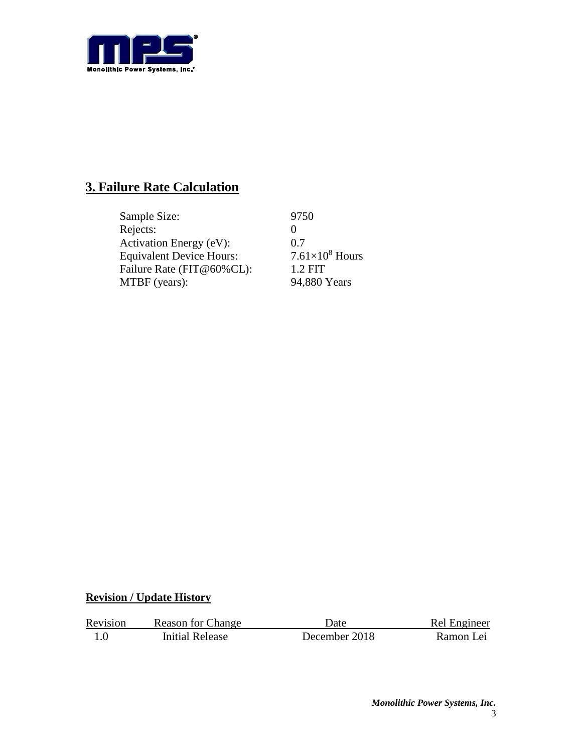

## **3. Failure Rate Calculation**

| Sample Size:                    | 9750                   |
|---------------------------------|------------------------|
| Rejects:                        |                        |
| Activation Energy (eV):         | 0.7                    |
| <b>Equivalent Device Hours:</b> | $7.61\times10^8$ Hours |
| Failure Rate (FIT@60%CL):       | $1.2$ FIT              |
| MTBF (years):                   | 94,880 Years           |

### **Revision / Update History**

| Revision | <b>Reason for Change</b> | Date          | Rel Engineer |
|----------|--------------------------|---------------|--------------|
|          | Initial Release          | December 2018 | Ramon Lei    |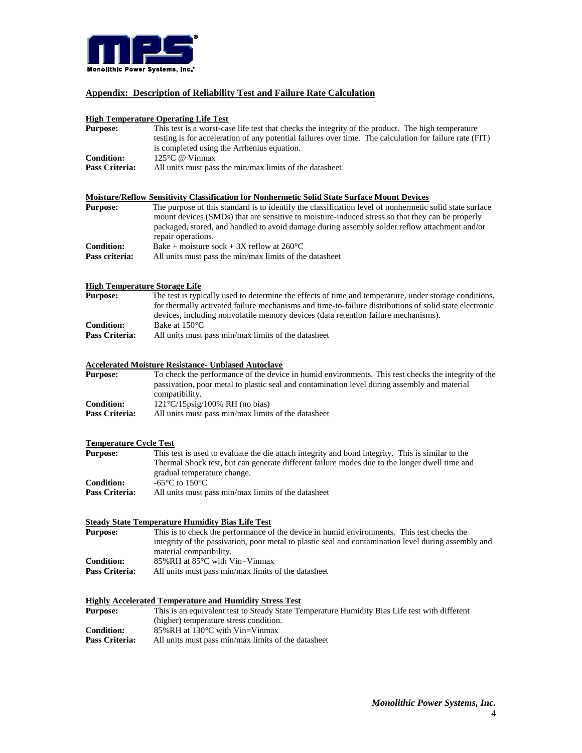

#### **Appendix: Description of Reliability Test and Failure Rate Calculation**

#### **High Temperature Operating Life Test**

| <b>Purpose:</b>   | This test is a worst-case life test that checks the integrity of the product. The high temperature<br>testing is for acceleration of any potential failures over time. The calculation for failure rate (FIT)<br>is completed using the Arrhenius equation. |
|-------------------|-------------------------------------------------------------------------------------------------------------------------------------------------------------------------------------------------------------------------------------------------------------|
|                   |                                                                                                                                                                                                                                                             |
| <b>Condition:</b> | $125^{\circ}$ C @ Vinmax                                                                                                                                                                                                                                    |
| Pass Criteria:    | All units must pass the min/max limits of the datasheet.                                                                                                                                                                                                    |
|                   | Moisture/Reflow Sensitivity Classification for Nonhermetic Solid State Surface Mount Devices                                                                                                                                                                |
| <b>Purpose:</b>   | The purpose of this standard is to identify the classification level of nonhermetic solid state surface                                                                                                                                                     |
|                   | mount devices (SMDs) that are sensitive to moisture-induced stress so that they can be properly                                                                                                                                                             |
|                   | packaged, stored, and handled to avoid damage during assembly solder reflow attachment and/or                                                                                                                                                               |
|                   |                                                                                                                                                                                                                                                             |

|                   | repair operations.                                      |
|-------------------|---------------------------------------------------------|
| <b>Condition:</b> | Bake + moisture sock + 3X reflow at $260^{\circ}$ C     |
| Pass criteria:    | All units must pass the min/max limits of the datasheet |

#### **High Temperature Storage Life**

| The test is typically used to determine the effects of time and temperature, under storage conditions, |
|--------------------------------------------------------------------------------------------------------|
| for thermally activated failure mechanisms and time-to-failure distributions of solid state electronic |
| devices, including nonvolatile memory devices (data retention failure mechanisms).                     |
| Bake at 150 °C                                                                                         |
| All units must pass min/max limits of the datasheet<br>Pass Criteria:                                  |
|                                                                                                        |

#### **Accelerated Moisture Resistance- Unbiased Autoclave**

| <b>Purpose:</b>   | To check the performance of the device in humid environments. This test checks the integrity of the |
|-------------------|-----------------------------------------------------------------------------------------------------|
|                   | passivation, poor metal to plastic seal and contamination level during assembly and material        |
|                   | compatibility.                                                                                      |
| <b>Condition:</b> | $121^{\circ}$ C/15psig/100% RH (no bias)                                                            |
| Pass Criteria:    | All units must pass min/max limits of the datasheet                                                 |

#### **Temperature Cycle Test**

| <b>Purpose:</b> | This test is used to evaluate the die attach integrity and bond integrity. This is similar to the |
|-----------------|---------------------------------------------------------------------------------------------------|
|                 | Thermal Shock test, but can generate different failure modes due to the longer dwell time and     |
|                 | gradual temperature change.                                                                       |
| Condition:      | -65 $\mathrm{^{\circ}C}$ to 150 $\mathrm{^{\circ}C}$                                              |
| Pass Criteria:  | All units must pass min/max limits of the datasheet                                               |

#### **Steady State Temperature Humidity Bias Life Test**

| <b>Purpose:</b> | This is to check the performance of the device in humid environments. This test checks the           |
|-----------------|------------------------------------------------------------------------------------------------------|
|                 | integrity of the passivation, poor metal to plastic seal and contamination level during assembly and |
|                 | material compatibility.                                                                              |
| Condition:      | 85%RH at $85^{\circ}$ C with Vin=Vinmax                                                              |
| Pass Criteria:  | All units must pass min/max limits of the datasheet                                                  |

#### **Highly Accelerated Temperature and Humidity Stress Test**

| <b>Purpose:</b> | This is an equivalent test to Steady State Temperature Humidity Bias Life test with different |
|-----------------|-----------------------------------------------------------------------------------------------|
|                 | (higher) temperature stress condition.                                                        |
| Condition:      | 85%RH at $130^{\circ}$ C with Vin=Vinmax                                                      |
| Pass Criteria:  | All units must pass min/max limits of the datasheet                                           |